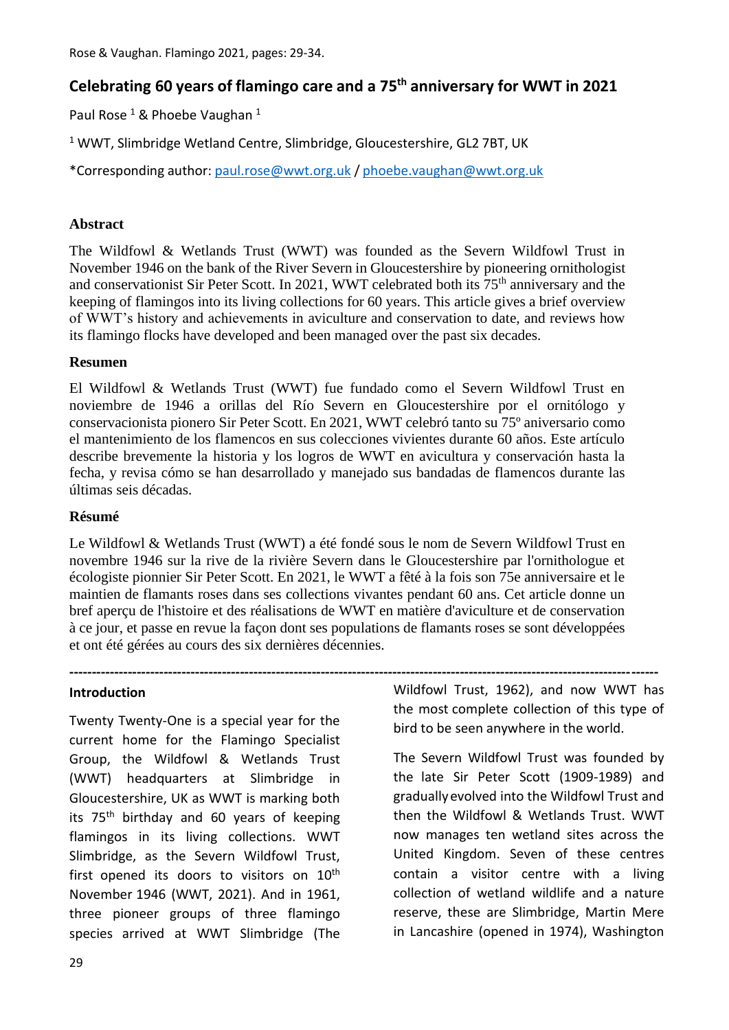# **Celebrating 60 years of flamingo care and a 75th anniversary for WWT in 2021**

Paul Rose<sup>1</sup> & Phoebe Vaughan<sup>1</sup>

<sup>1</sup> WWT, Slimbridge Wetland Centre, Slimbridge, Gloucestershire, GL2 7BT, UK

\*Corresponding author: [paul.rose@wwt.org.uk](mailto:paul.rose@wwt.org.uk) / [phoebe.vaughan@wwt.org.uk](mailto:phoebe.vaughan@wwt.org.uk)

#### **Abstract**

The Wildfowl & Wetlands Trust (WWT) was founded as the Severn Wildfowl Trust in November 1946 on the bank of the River Severn in Gloucestershire by pioneering ornithologist and conservationist Sir Peter Scott. In 2021, WWT celebrated both its 75<sup>th</sup> anniversary and the keeping of flamingos into its living collections for 60 years. This article gives a brief overview of WWT's history and achievements in aviculture and conservation to date, and reviews how its flamingo flocks have developed and been managed over the past six decades.

#### **Resumen**

El Wildfowl & Wetlands Trust (WWT) fue fundado como el Severn Wildfowl Trust en noviembre de 1946 a orillas del Río Severn en Gloucestershire por el ornitólogo y conservacionista pionero Sir Peter Scott. En 2021, WWT celebró tanto su 75º aniversario como el mantenimiento de los flamencos en sus colecciones vivientes durante 60 años. Este artículo describe brevemente la historia y los logros de WWT en avicultura y conservación hasta la fecha, y revisa cómo se han desarrollado y manejado sus bandadas de flamencos durante las últimas seis décadas.

#### **Résumé**

Le Wildfowl & Wetlands Trust (WWT) a été fondé sous le nom de Severn Wildfowl Trust en novembre 1946 sur la rive de la rivière Severn dans le Gloucestershire par l'ornithologue et écologiste pionnier Sir Peter Scott. En 2021, le WWT a fêté à la fois son 75e anniversaire et le maintien de flamants roses dans ses collections vivantes pendant 60 ans. Cet article donne un bref aperçu de l'histoire et des réalisations de WWT en matière d'aviculture et de conservation à ce jour, et passe en revue la façon dont ses populations de flamants roses se sont développées et ont été gérées au cours des six dernières décennies.

#### **Introduction**

Twenty Twenty-One is a special year for the current home for the Flamingo Specialist Group, the Wildfowl & Wetlands Trust (WWT) headquarters at Slimbridge in Gloucestershire, UK as WWT is marking both its 75<sup>th</sup> birthday and 60 years of keeping flamingos in its living collections. WWT Slimbridge, as the Severn Wildfowl Trust, first opened its doors to visitors on 10<sup>th</sup> November 1946 (WWT, 2021). And in 1961, three pioneer groups of three flamingo species arrived at WWT Slimbridge (The

**-----------------------------------------------------------------------------------------------------------------------------------** Wildfowl Trust, 1962), and now WWT has the most complete collection of this type of bird to be seen anywhere in the world.

> The Severn Wildfowl Trust was founded by the late Sir Peter Scott (1909-1989) and graduallyevolved into the Wildfowl Trust and then the Wildfowl & Wetlands Trust. WWT now manages ten wetland sites across the United Kingdom. Seven of these centres contain a visitor centre with a living collection of wetland wildlife and a nature reserve, these are Slimbridge, Martin Mere in Lancashire (opened in 1974), Washington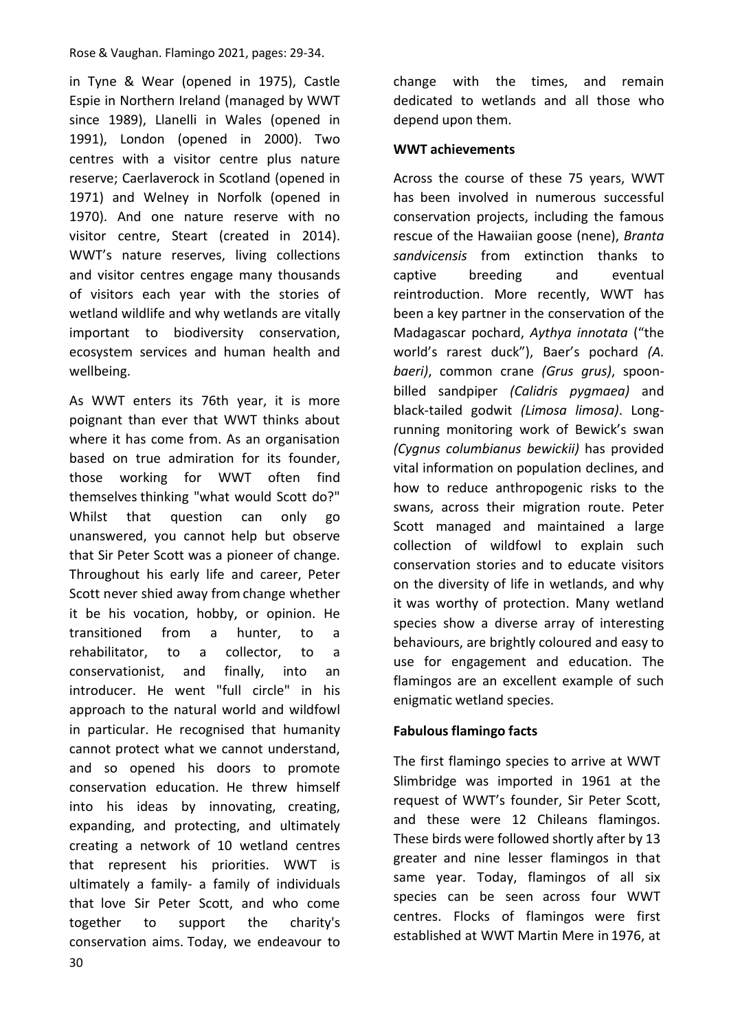in Tyne & Wear (opened in 1975), Castle Espie in Northern Ireland (managed by WWT since 1989), Llanelli in Wales (opened in 1991), London (opened in 2000). Two centres with a visitor centre plus nature reserve; Caerlaverock in Scotland (opened in 1971) and Welney in Norfolk (opened in 1970). And one nature reserve with no visitor centre, Steart (created in 2014). WWT's nature reserves, living collections and visitor centres engage many thousands of visitors each year with the stories of wetland wildlife and why wetlands are vitally important to biodiversity conservation, ecosystem services and human health and wellbeing.

As WWT enters its 76th year, it is more poignant than ever that WWT thinks about where it has come from. As an organisation based on true admiration for its founder, those working for WWT often find themselves thinking "what would Scott do?" Whilst that question can only go unanswered, you cannot help but observe that Sir Peter Scott was a pioneer of change. Throughout his early life and career, Peter Scott never shied away from change whether it be his vocation, hobby, or opinion. He transitioned from a hunter, to a rehabilitator, to a collector, to a conservationist, and finally, into an introducer. He went "full circle" in his approach to the natural world and wildfowl in particular. He recognised that humanity cannot protect what we cannot understand, and so opened his doors to promote conservation education. He threw himself into his ideas by innovating, creating, expanding, and protecting, and ultimately creating a network of 10 wetland centres that represent his priorities. WWT is ultimately a family- a family of individuals that love Sir Peter Scott, and who come together to support the charity's conservation aims. Today, we endeavour to

change with the times, and remain dedicated to wetlands and all those who depend upon them.

#### **WWT achievements**

Across the course of these 75 years, WWT has been involved in numerous successful conservation projects, including the famous rescue of the Hawaiian goose (nene), *Branta sandvicensis* from extinction thanks to captive breeding and eventual reintroduction. More recently, WWT has been a key partner in the conservation of the Madagascar pochard, *Aythya innotata* ("the world's rarest duck"), Baer's pochard *(A. baeri)*, common crane *(Grus grus)*, spoonbilled sandpiper *(Calidris pygmaea)* and black-tailed godwit *(Limosa limosa)*. Longrunning monitoring work of Bewick's swan *(Cygnus columbianus bewickii)* has provided vital information on population declines, and how to reduce anthropogenic risks to the swans, across their migration route. Peter Scott managed and maintained a large collection of wildfowl to explain such conservation stories and to educate visitors on the diversity of life in wetlands, and why it was worthy of protection. Many wetland species show a diverse array of interesting behaviours, are brightly coloured and easy to use for engagement and education. The flamingos are an excellent example of such enigmatic wetland species.

# **Fabulous flamingo facts**

The first flamingo species to arrive at WWT Slimbridge was imported in 1961 at the request of WWT's founder, Sir Peter Scott, and these were 12 Chileans flamingos. These birds were followed shortly after by 13 greater and nine lesser flamingos in that same year. Today, flamingos of all six species can be seen across four WWT centres. Flocks of flamingos were first established at WWT Martin Mere in 1976, at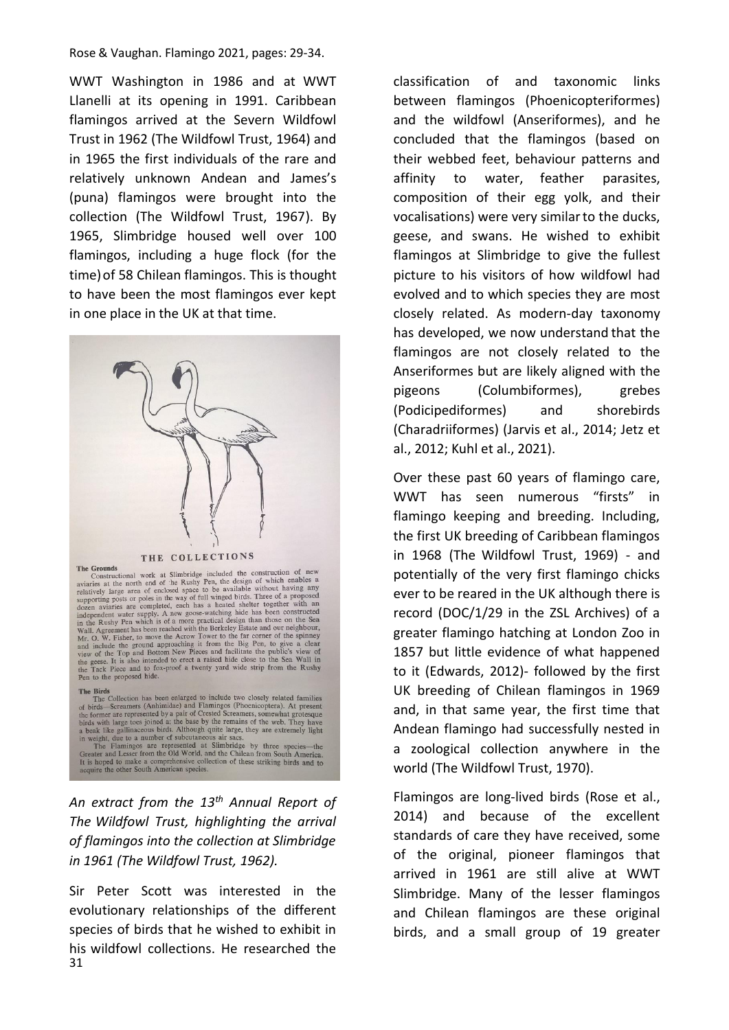WWT Washington in 1986 and at WWT Llanelli at its opening in 1991. Caribbean flamingos arrived at the Severn Wildfowl Trust in 1962 (The Wildfowl Trust, 1964) and in 1965 the first individuals of the rare and relatively unknown Andean and James's (puna) flamingos were brought into the collection (The Wildfowl Trust, 1967). By 1965, Slimbridge housed well over 100 flamingos, including a huge flock (for the time)of 58 Chilean flamingos. This is thought to have been the most flamingos ever kept in one place in the UK at that time.



**THE COLLECTIONS**<br> **THE GOLLECTIONS**<br> **THE GOLLECTIONS**<br> **THE GONDISTER COLLECTIONS**<br> **THE GONDISTER COLLECTIONS**<br> **COLLECTIONS**<br> **COLLECTIONS**<br> **COLLECTIONS**<br> **COLLECTIONS**<br> **COLLECTIONS**<br> **COLLECTIONS**<br> **COLLECTIONS**<br> **C** 

**The Birds**<br> **The Birds**<br>
The Collection has been enlarged to include two closely related families<br>
of birds—Screamers (Anhimidae) and Flamingos (Phoenicoptera). At present<br>
the former are represented by a pair of Crested

*An extract from the 13th Annual Report of The Wildfowl Trust, highlighting the arrival of flamingos into the collection at Slimbridge in 1961 (The Wildfowl Trust, 1962).*

31 Sir Peter Scott was interested in the evolutionary relationships of the different species of birds that he wished to exhibit in his wildfowl collections. He researched the classification of and taxonomic links between flamingos (Phoenicopteriformes) and the wildfowl (Anseriformes), and he concluded that the flamingos (based on their webbed feet, behaviour patterns and affinity to water, feather parasites, composition of their egg yolk, and their vocalisations) were very similarto the ducks, geese, and swans. He wished to exhibit flamingos at Slimbridge to give the fullest picture to his visitors of how wildfowl had evolved and to which species they are most closely related. As modern-day taxonomy has developed, we now understand that the flamingos are not closely related to the Anseriformes but are likely aligned with the pigeons (Columbiformes), grebes (Podicipediformes) and shorebirds (Charadriiformes) (Jarvis et al., 2014; Jetz et al., 2012; Kuhl et al., 2021).

Over these past 60 years of flamingo care, WWT has seen numerous "firsts" in flamingo keeping and breeding. Including, the first UK breeding of Caribbean flamingos in 1968 (The Wildfowl Trust, 1969) - and potentially of the very first flamingo chicks ever to be reared in the UK although there is record (DOC/1/29 in the ZSL Archives) of a greater flamingo hatching at London Zoo in 1857 but little evidence of what happened to it (Edwards, 2012)- followed by the first UK breeding of Chilean flamingos in 1969 and, in that same year, the first time that Andean flamingo had successfully nested in a zoological collection anywhere in the world (The Wildfowl Trust, 1970).

Flamingos are long-lived birds (Rose et al., 2014) and because of the excellent standards of care they have received, some of the original, pioneer flamingos that arrived in 1961 are still alive at WWT Slimbridge. Many of the lesser flamingos and Chilean flamingos are these original birds, and a small group of 19 greater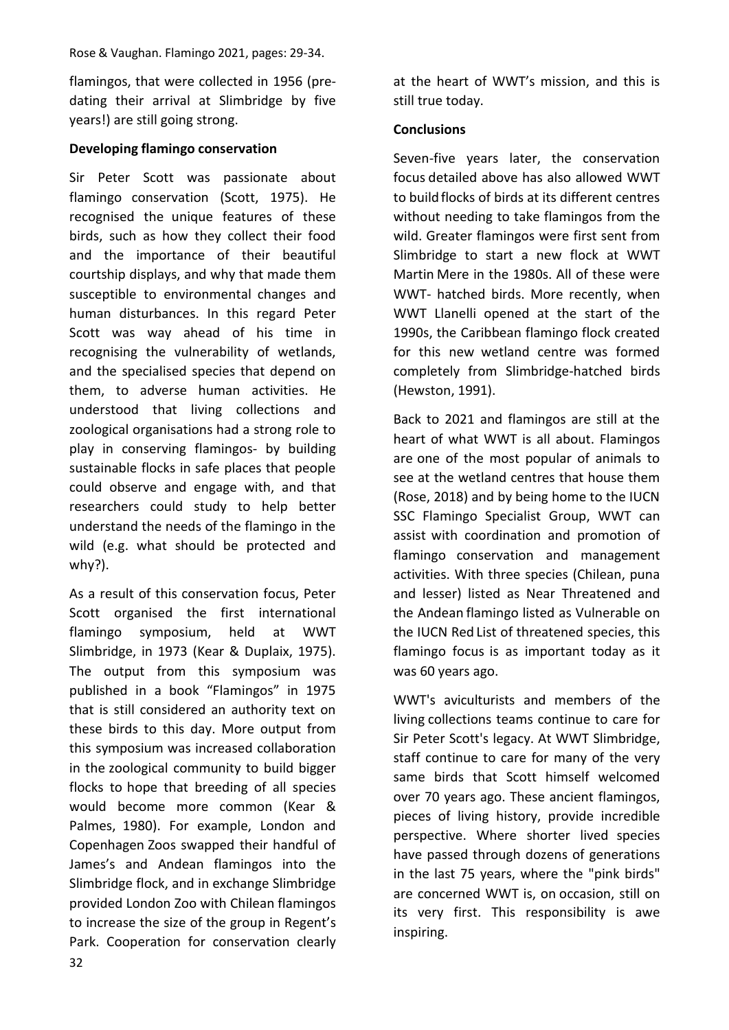flamingos, that were collected in 1956 (predating their arrival at Slimbridge by five years!) are still going strong.

# **Developing flamingo conservation**

Sir Peter Scott was passionate about flamingo conservation (Scott, 1975). He recognised the unique features of these birds, such as how they collect their food and the importance of their beautiful courtship displays, and why that made them susceptible to environmental changes and human disturbances. In this regard Peter Scott was way ahead of his time in recognising the vulnerability of wetlands, and the specialised species that depend on them, to adverse human activities. He understood that living collections and zoological organisations had a strong role to play in conserving flamingos- by building sustainable flocks in safe places that people could observe and engage with, and that researchers could study to help better understand the needs of the flamingo in the wild (e.g. what should be protected and why?).

As a result of this conservation focus, Peter Scott organised the first international flamingo symposium, held at WWT Slimbridge, in 1973 (Kear & Duplaix, 1975). The output from this symposium was published in a book "Flamingos" in 1975 that is still considered an authority text on these birds to this day. More output from this symposium was increased collaboration in the zoological community to build bigger flocks to hope that breeding of all species would become more common (Kear & Palmes, 1980). For example, London and Copenhagen Zoos swapped their handful of James's and Andean flamingos into the Slimbridge flock, and in exchange Slimbridge provided London Zoo with Chilean flamingos to increase the size of the group in Regent's Park. Cooperation for conservation clearly

at the heart of WWT's mission, and this is still true today.

### **Conclusions**

Seven-five years later, the conservation focus detailed above has also allowed WWT to buildflocks of birds at its different centres without needing to take flamingos from the wild. Greater flamingos were first sent from Slimbridge to start a new flock at WWT Martin Mere in the 1980s. All of these were WWT- hatched birds. More recently, when WWT Llanelli opened at the start of the 1990s, the Caribbean flamingo flock created for this new wetland centre was formed completely from Slimbridge-hatched birds (Hewston, 1991).

Back to 2021 and flamingos are still at the heart of what WWT is all about. Flamingos are one of the most popular of animals to see at the wetland centres that house them (Rose, 2018) and by being home to the IUCN SSC Flamingo Specialist Group, WWT can assist with coordination and promotion of flamingo conservation and management activities. With three species (Chilean, puna and lesser) listed as Near Threatened and the Andean flamingo listed as Vulnerable on the IUCN Red List of threatened species, this flamingo focus is as important today as it was 60 years ago.

WWT's aviculturists and members of the living collections teams continue to care for Sir Peter Scott's legacy. At WWT Slimbridge, staff continue to care for many of the very same birds that Scott himself welcomed over 70 years ago. These ancient flamingos, pieces of living history, provide incredible perspective. Where shorter lived species have passed through dozens of generations in the last 75 years, where the "pink birds" are concerned WWT is, on occasion, still on its very first. This responsibility is awe inspiring.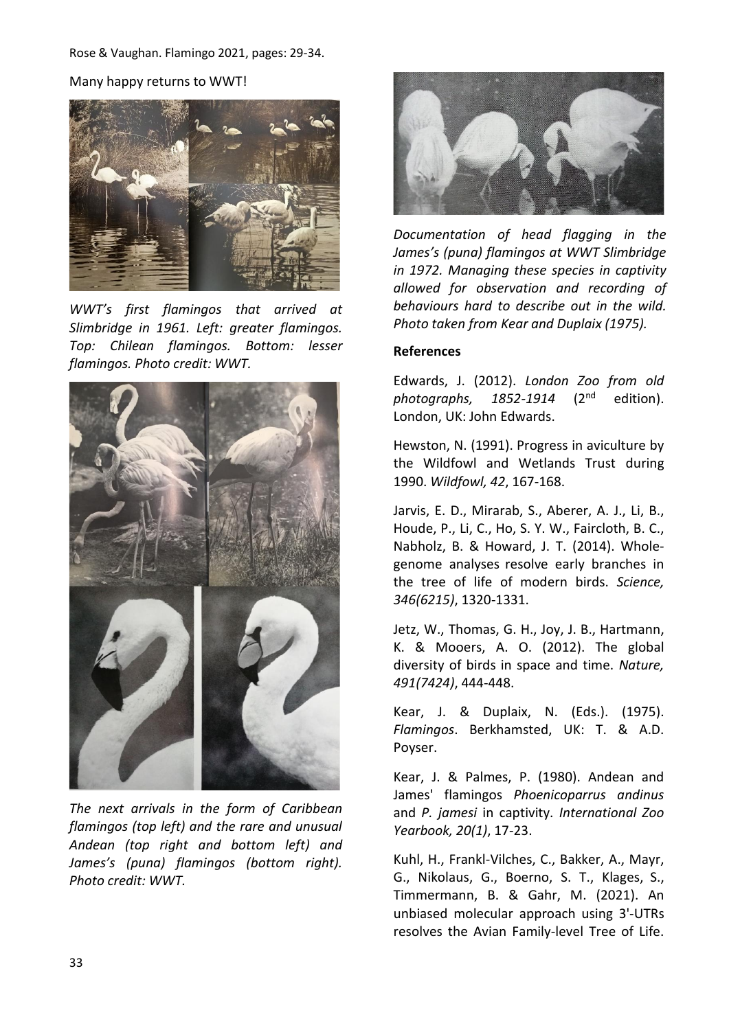Many happy returns to WWT!



*WWT's first flamingos that arrived at Slimbridge in 1961. Left: greater flamingos. Top: Chilean flamingos. Bottom: lesser flamingos. Photo credit: WWT.*



*The next arrivals in the form of Caribbean flamingos (top left) and the rare and unusual Andean (top right and bottom left) and James's (puna) flamingos (bottom right). Photo credit: WWT.*



*Documentation of head flagging in the James's (puna) flamingos at WWT Slimbridge in 1972. Managing these species in captivity allowed for observation and recording of behaviours hard to describe out in the wild. Photo taken from Kear and Duplaix (1975).*

#### **References**

Edwards, J. (2012). *London Zoo from old photographs, 1852-1914* (2nd edition). London, UK: John Edwards.

Hewston, N. (1991). Progress in aviculture by the Wildfowl and Wetlands Trust during 1990. *Wildfowl, 42*, 167-168.

Jarvis, E. D., Mirarab, S., Aberer, A. J., Li, B., Houde, P., Li, C., Ho, S. Y. W., Faircloth, B. C., Nabholz, B. & Howard, J. T. (2014). Wholegenome analyses resolve early branches in the tree of life of modern birds. *Science, 346(6215)*, 1320-1331.

Jetz, W., Thomas, G. H., Joy, J. B., Hartmann, K. & Mooers, A. O. (2012). The global diversity of birds in space and time. *Nature, 491(7424)*, 444-448.

Kear, J. & Duplaix, N. (Eds.). (1975). *Flamingos*. Berkhamsted, UK: T. & A.D. Poyser.

Kear, J. & Palmes, P. (1980). Andean and James' flamingos *Phoenicoparrus andinus* and *P. jamesi* in captivity. *International Zoo Yearbook, 20(1)*, 17-23.

Kuhl, H., Frankl-Vilches, C., Bakker, A., Mayr, G., Nikolaus, G., Boerno, S. T., Klages, S., Timmermann, B. & Gahr, M. (2021). An unbiased molecular approach using 3'-UTRs resolves the Avian Family-level Tree of Life.